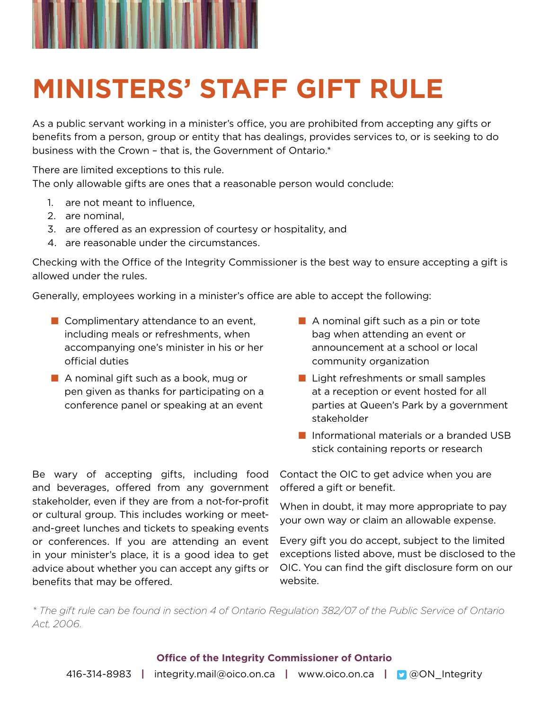

## **MINISTERS' STAFF GIFT RULE**

As a public servant working in a minister's office, you are prohibited from accepting any gifts or benefits from a person, group or entity that has dealings, provides services to, or is seeking to do business with the Crown – that is, the Government of Ontario.\*

There are limited exceptions to this rule.

The only allowable gifts are ones that a reasonable person would conclude:

- 1. are not meant to influence,
- 2. are nominal,
- 3. are offered as an expression of courtesy or hospitality, and
- 4. are reasonable under the circumstances.

Checking with the Office of the Integrity Commissioner is the best way to ensure accepting a gift is allowed under the rules.

Generally, employees working in a minister's office are able to accept the following:

- Complimentary attendance to an event, including meals or refreshments, when accompanying one's minister in his or her official duties
- A nominal gift such as a book, mug or pen given as thanks for participating on a conference panel or speaking at an event

Be wary of accepting gifts, including food and beverages, offered from any government stakeholder, even if they are from a not-for-profit or cultural group. This includes working or meetand-greet lunches and tickets to speaking events or conferences. If you are attending an event in your minister's place, it is a good idea to get advice about whether you can accept any gifts or

benefits that may be offered.

- A nominal gift such as a pin or tote bag when attending an event or announcement at a school or local community organization
- Light refreshments or small samples at a reception or event hosted for all parties at Queen's Park by a government stakeholder
- Informational materials or a branded USB stick containing reports or research

Contact the OIC to get advice when you are offered a gift or benefit.

When in doubt, it may more appropriate to pay your own way or claim an allowable expense.

Every gift you do accept, subject to the limited exceptions listed above, must be disclosed to the OIC. You can find the gift disclosure form on our website.

*\* The gift rule can be found in section 4 of Ontario Regulation 382/07 of the Public Service of Ontario Act, 2006.*

## **Office of the Integrity Commissioner of Ontario**